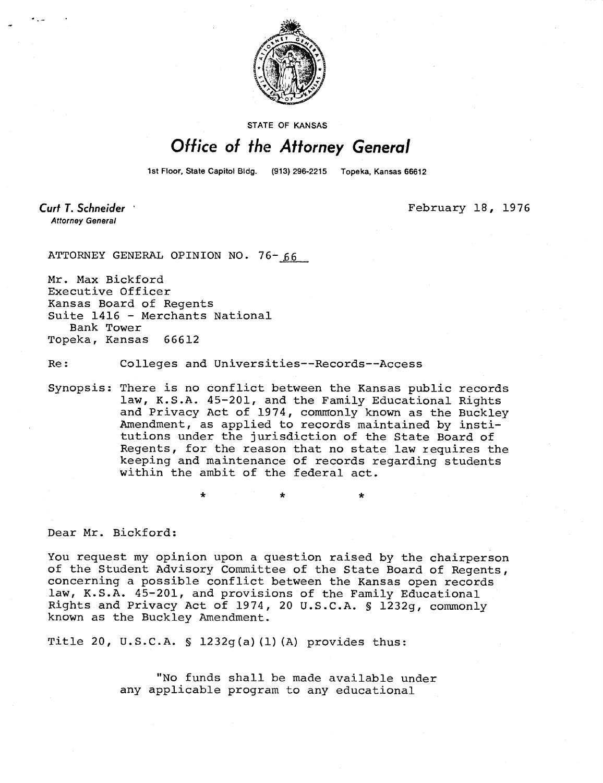

STATE OF KANSAS

## Office of the Attorney General

1st Floor, State Capitol Bldg. (913) 296-2215 Topeka, Kansas 66612

Curt T. Schneider **Attorney General** 

February 18, 1976

ATTORNEY GENERAL OPINION NO.  $76 - 66$ 

Mr. Max Bickford Executive Officer Kansas Board of Regents Suite 1416 - Merchants National Bank Tower Topeka, Kansas 66612

Re: Colleges and Universities--Records--Access

Synopsis: There is no conflict between the Kansas public records law, K.S.A. 45-201, and the Family Educational Rights and Privacy Act of 1974, commonly known as the Buckley Amendment, as applied to records maintained by institutions under the jurisdiction of the State Board of Regents, for the reason that no state law requires the keeping and maintenance of records regarding students within the ambit of the federal act.

Dear Mr. Bickford:

You request my opinion upon a question raised by the chairperson of the Student Advisory Committee of the State Board of Regents, concerning a possible conflict between the Kansas open records law, K.S.A. 45-201, and provisions of the Family Educational Rights and Privacy Act of 1974, 20 U.S.C.A. § 1232g, commonly known as the Buckley Amendment.

Title 20, U.S.C.A. § 1232g(a)(1)(A) provides thus:

"No funds shall be made available under any applicable program to any educational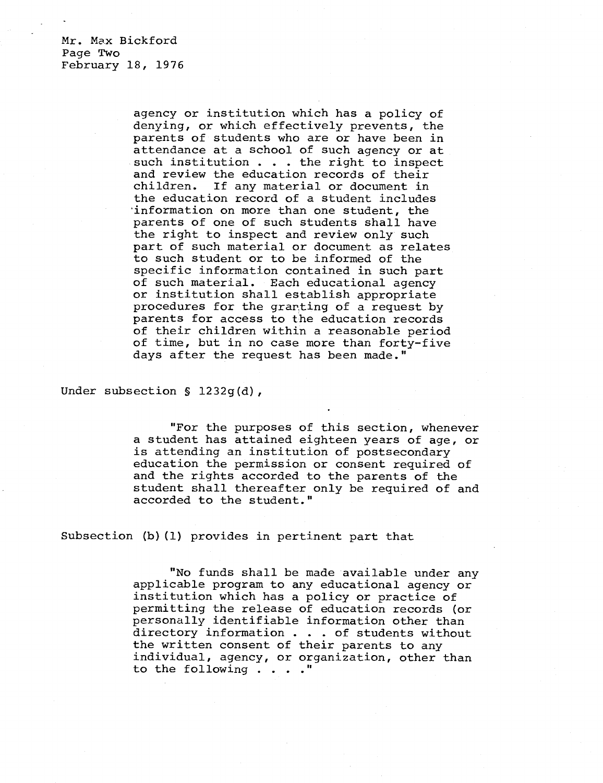Mr. Max Bickford Page Two February 18, 1976

> agency or institution which has a policy of denying, or which effectively prevents, the parents of students who are or have been in attendance at a school of such agency or at such institution . . . the right to inspect and review the education records of their children. If any material or document in the education record of a student includes 'information on more than one student, the parents of one of such students shall have the right to inspect and review only such part of such material or document as relates to such student or to be informed of the specific information contained in such part of such material. Each educational agency or institution shall establish appropriate procedures for the granting of a request by parents for access to the education records of their children within a reasonable period of time, but in no case more than forty-five days after the request has been made."

Under subsection § 1232g(d),

"For the purposes of this section, whenever a student has attained eighteen years of age, or is attending an institution of postsecondary education the permission or consent required of and the rights accorded to the parents of the student shall thereafter only be required of and accorded to the student."

Subsection (b) (1) provides in pertinent part that

"No funds shall be made available under any applicable program to any educational agency or institution which has a policy or practice of permitting the release of education records (or personally identifiable information other than directory information . . . of students without the written consent of their parents to any individual, agency, or organization, other than to the following . . . ."